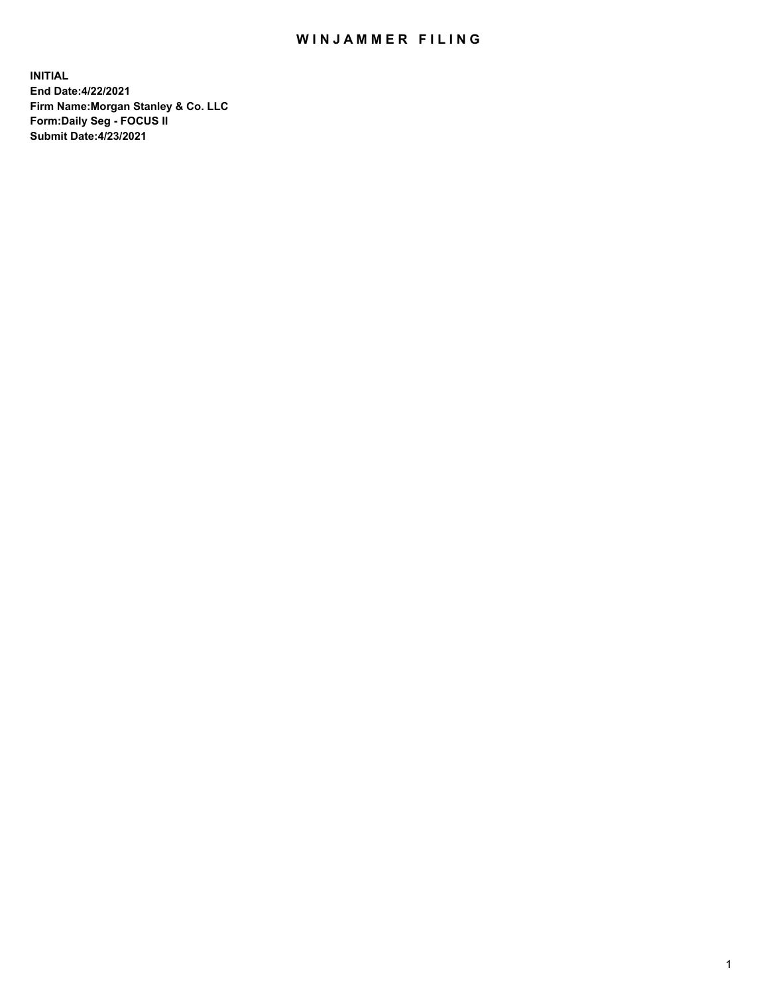## WIN JAMMER FILING

**INITIAL End Date:4/22/2021 Firm Name:Morgan Stanley & Co. LLC Form:Daily Seg - FOCUS II Submit Date:4/23/2021**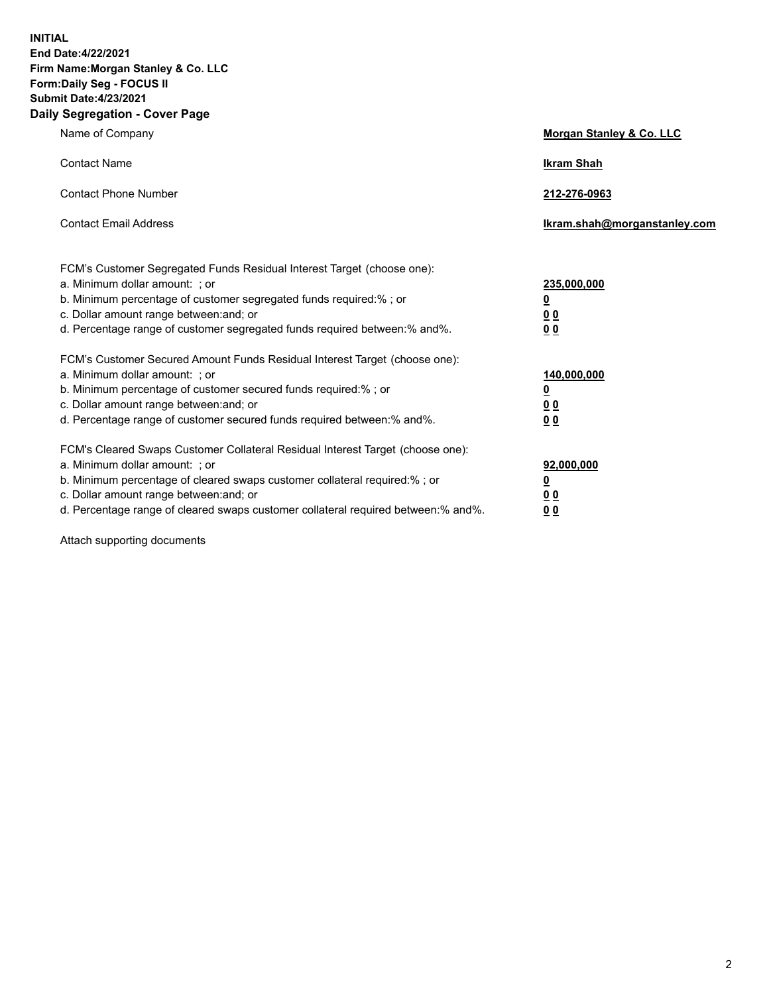**INITIAL End Date:4/22/2021 Firm Name:Morgan Stanley & Co. LLC Form:Daily Seg - FOCUS II Submit Date:4/23/2021 Daily Segregation - Cover Page**

| Name of Company                                                                                                                                                                                                                                                                                                                | <b>Morgan Stanley &amp; Co. LLC</b>                         |
|--------------------------------------------------------------------------------------------------------------------------------------------------------------------------------------------------------------------------------------------------------------------------------------------------------------------------------|-------------------------------------------------------------|
| <b>Contact Name</b>                                                                                                                                                                                                                                                                                                            | <b>Ikram Shah</b>                                           |
| <b>Contact Phone Number</b>                                                                                                                                                                                                                                                                                                    | 212-276-0963                                                |
| <b>Contact Email Address</b>                                                                                                                                                                                                                                                                                                   | Ikram.shah@morganstanley.com                                |
| FCM's Customer Segregated Funds Residual Interest Target (choose one):<br>a. Minimum dollar amount: ; or<br>b. Minimum percentage of customer segregated funds required:%; or<br>c. Dollar amount range between: and; or<br>d. Percentage range of customer segregated funds required between:% and%.                          | 235,000,000<br><u>0</u><br>0 <sub>0</sub><br>0 <sub>0</sub> |
| FCM's Customer Secured Amount Funds Residual Interest Target (choose one):<br>a. Minimum dollar amount: ; or<br>b. Minimum percentage of customer secured funds required:% ; or<br>c. Dollar amount range between: and; or<br>d. Percentage range of customer secured funds required between:% and%.                           | 140,000,000<br><u>0</u><br>0 <sub>0</sub><br>0 <sub>0</sub> |
| FCM's Cleared Swaps Customer Collateral Residual Interest Target (choose one):<br>a. Minimum dollar amount: ; or<br>b. Minimum percentage of cleared swaps customer collateral required:% ; or<br>c. Dollar amount range between: and; or<br>d. Percentage range of cleared swaps customer collateral required between:% and%. | 92,000,000<br><u>0</u><br><u>00</u><br>0 <sub>0</sub>       |

Attach supporting documents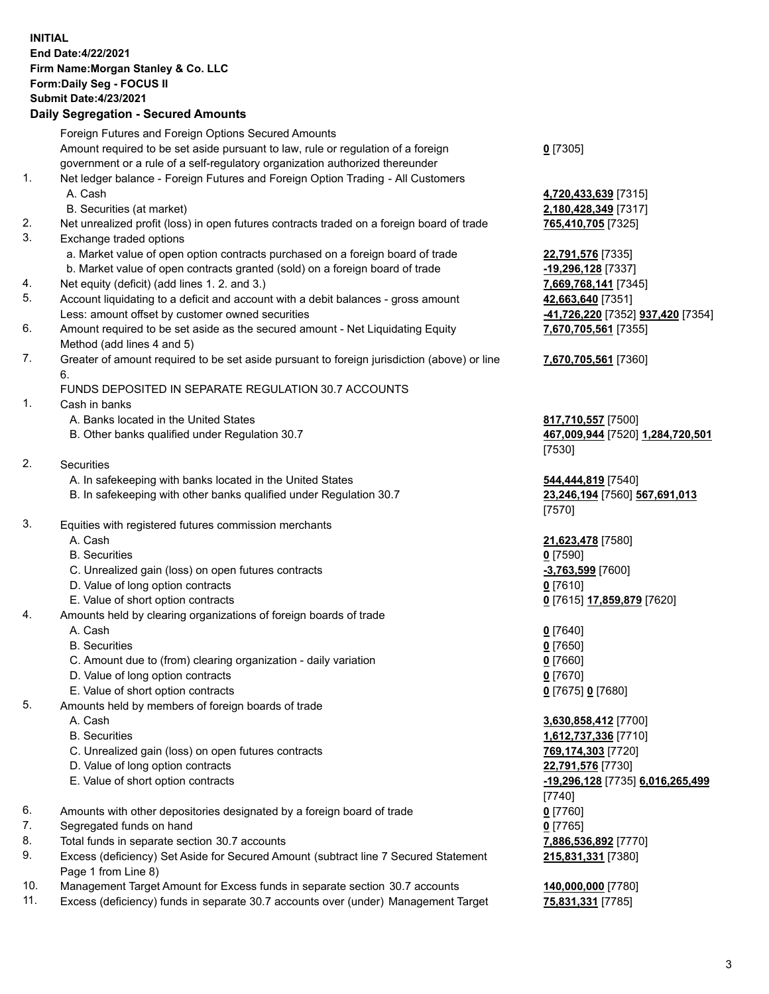## **INITIAL End Date:4/22/2021 Firm Name:Morgan Stanley & Co. LLC Form:Daily Seg - FOCUS II Submit Date:4/23/2021**

## **Daily Segregation - Secured Amounts**

Foreign Futures and Foreign Options Secured Amounts Amount required to be set aside pursuant to law, rule or regulation of a foreign government or a rule of a self-regulatory organization authorized thereunder 1. Net ledger balance - Foreign Futures and Foreign Option Trading - All Customers A. Cash **4,720,433,639** [7315] B. Securities (at market) **2,180,428,349** [7317] 2. Net unrealized profit (loss) in open futures contracts traded on a foreign board of trade **765,410,705** [7325] 3. Exchange traded options a. Market value of open option contracts purchased on a foreign board of trade **22,791,576** [7335] b. Market value of open contracts granted (sold) on a foreign board of trade **-19,296,128** [7337] 4. Net equity (deficit) (add lines 1. 2. and 3.) **7,669,768,141** [7345] 5. Account liquidating to a deficit and account with a debit balances - gross amount **42,663,640** [7351] Less: amount offset by customer owned securities **-41,726,220** [7352] **937,420** [7354] 6. Amount required to be set aside as the secured amount - Net Liquidating Equity Method (add lines 4 and 5) 7. Greater of amount required to be set aside pursuant to foreign jurisdiction (above) or line 6. FUNDS DEPOSITED IN SEPARATE REGULATION 30.7 ACCOUNTS 1. Cash in banks A. Banks located in the United States **817,710,557** [7500] B. Other banks qualified under Regulation 30.7 **467,009,944** [7520] **1,284,720,501** [7530] 2. Securities A. In safekeeping with banks located in the United States **544,444,819** [7540] B. In safekeeping with other banks qualified under Regulation 30.7 **23,246,194** [7560] **567,691,013** [7570] 3. Equities with registered futures commission merchants A. Cash **21,623,478** [7580] B. Securities **0** [7590] C. Unrealized gain (loss) on open futures contracts **-3,763,599** [7600] D. Value of long option contracts **0** [7610] E. Value of short option contracts **0** [7615] **17,859,879** [7620] 4. Amounts held by clearing organizations of foreign boards of trade A. Cash **0** [7640] B. Securities **0** [7650] C. Amount due to (from) clearing organization - daily variation **0** [7660] D. Value of long option contracts **0** [7670] E. Value of short option contracts **0** [7675] **0** [7680] 5. Amounts held by members of foreign boards of trade A. Cash **3,630,858,412** [7700] B. Securities **1,612,737,336** [7710] C. Unrealized gain (loss) on open futures contracts **769,174,303** [7720] D. Value of long option contracts **22,791,576** [7730] E. Value of short option contracts **-19,296,128** [7735] **6,016,265,499** [7740] 6. Amounts with other depositories designated by a foreign board of trade **0** [7760] 7. Segregated funds on hand **0** [7765] 8. Total funds in separate section 30.7 accounts **7,886,536,892** [7770] 9. Excess (deficiency) Set Aside for Secured Amount (subtract line 7 Secured Statement Page 1 from Line 8)

- 10. Management Target Amount for Excess funds in separate section 30.7 accounts **140,000,000** [7780]
- 11. Excess (deficiency) funds in separate 30.7 accounts over (under) Management Target **75,831,331** [7785]

**0** [7305]

**7,670,705,561** [7355]

## **7,670,705,561** [7360]

**215,831,331** [7380]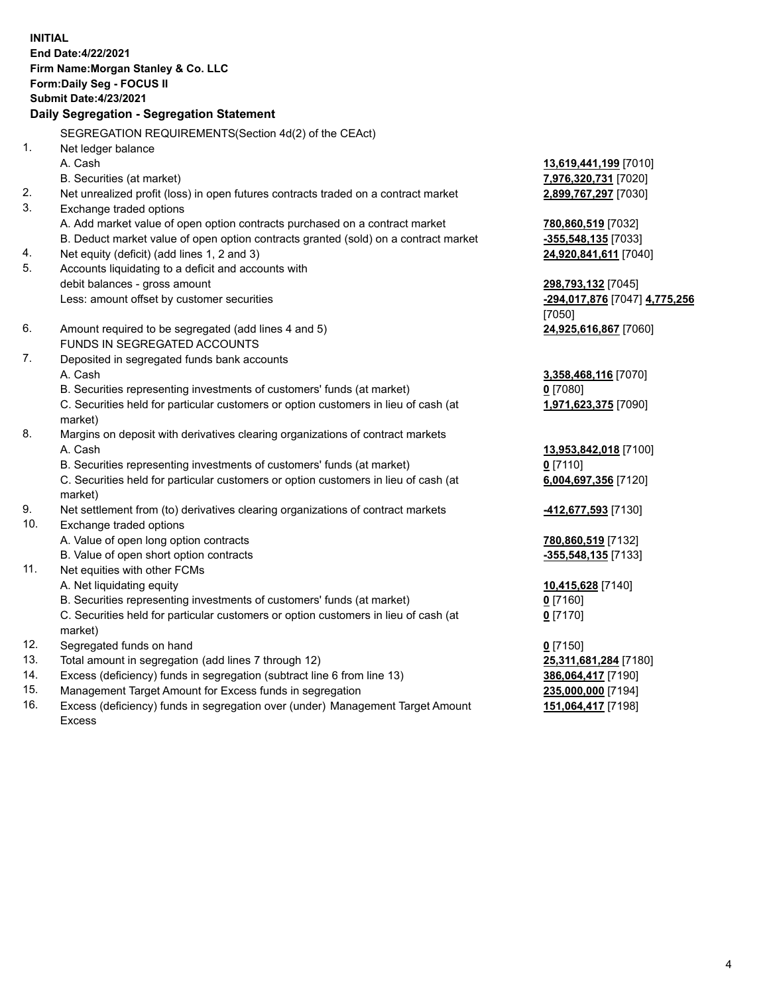**INITIAL End Date:4/22/2021 Firm Name:Morgan Stanley & Co. LLC Form:Daily Seg - FOCUS II Submit Date:4/23/2021 Daily Segregation - Segregation Statement** SEGREGATION REQUIREMENTS(Section 4d(2) of the CEAct) 1. Net ledger balance A. Cash **13,619,441,199** [7010] B. Securities (at market) **7,976,320,731** [7020] 2. Net unrealized profit (loss) in open futures contracts traded on a contract market **2,899,767,297** [7030] 3. Exchange traded options A. Add market value of open option contracts purchased on a contract market **780,860,519** [7032] B. Deduct market value of open option contracts granted (sold) on a contract market **-355,548,135** [7033] 4. Net equity (deficit) (add lines 1, 2 and 3) **24,920,841,611** [7040] 5. Accounts liquidating to a deficit and accounts with debit balances - gross amount **298,793,132** [7045] Less: amount offset by customer securities **-294,017,876** [7047] **4,775,256** [7050] 6. Amount required to be segregated (add lines 4 and 5) **24,925,616,867** [7060] FUNDS IN SEGREGATED ACCOUNTS 7. Deposited in segregated funds bank accounts A. Cash **3,358,468,116** [7070] B. Securities representing investments of customers' funds (at market) **0** [7080] C. Securities held for particular customers or option customers in lieu of cash (at market) **1,971,623,375** [7090] 8. Margins on deposit with derivatives clearing organizations of contract markets A. Cash **13,953,842,018** [7100] B. Securities representing investments of customers' funds (at market) **0** [7110] C. Securities held for particular customers or option customers in lieu of cash (at market) **6,004,697,356** [7120] 9. Net settlement from (to) derivatives clearing organizations of contract markets **-412,677,593** [7130] 10. Exchange traded options A. Value of open long option contracts **780,860,519** [7132] B. Value of open short option contracts **and the set of our original contracts -355,548,135** [7133] 11. Net equities with other FCMs A. Net liquidating equity **10,415,628** [7140] B. Securities representing investments of customers' funds (at market) **0** [7160] C. Securities held for particular customers or option customers in lieu of cash (at market) **0** [7170] 12. Segregated funds on hand **0** [7150] 13. Total amount in segregation (add lines 7 through 12) **25,311,681,284** [7180] 14. Excess (deficiency) funds in segregation (subtract line 6 from line 13) **386,064,417** [7190] 15. Management Target Amount for Excess funds in segregation **235,000,000** [7194]

16. Excess (deficiency) funds in segregation over (under) Management Target Amount Excess

**151,064,417** [7198]